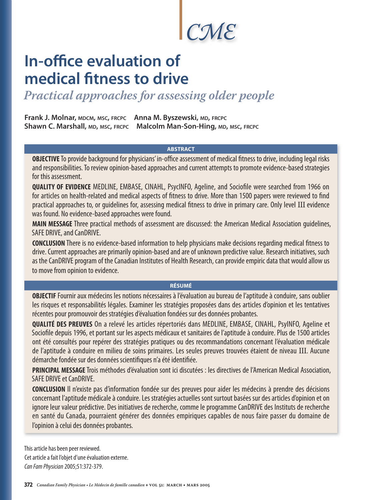*CME*

# **In-office evaluation of medical fitness to drive**

*Practical approaches for assessing older people*

**Frank J. Molnar, MDCM, MSC, FRCPC Anna M. Byszewski, MD, FRCPC Shawn C. Marshall, MD, MSC, FRCPC Malcolm Man-Son-Hing, MD, MSC, FRCPC**

## **ABSTRACT**

**OBJECTIVE** To provide background for physicians' in-office assessment of medical fitness to drive, including legal risks and responsibilities. To review opinion-based approaches and current attempts to promote evidence-based strategies for this assessment.

**QUALITY OF EVIDENCE** MEDLINE, EMBASE, CINAHL, PsycINFO, Ageline, and Sociofile were searched from 1966 on for articles on health-related and medical aspects of fitness to drive. More than 1500 papers were reviewed to find practical approaches to, or guidelines for, assessing medical fitness to drive in primary care. Only level III evidence was found. No evidence-based approaches were found.

**MAIN MESSAGE** Three practical methods of assessment are discussed: the American Medical Association guidelines, SAFE DRIVE, and CanDRIVE.

**CONCLUSION** There is no evidence-based information to help physicians make decisions regarding medical fitness to drive. Current approaches are primarily opinion-based and are of unknown predictive value. Research initiatives, such as the CanDRIVE program of the Canadian Institutes of Health Research, can provide empiric data that would allow us to move from opinion to evidence.

## **RÉSUMÉ**

**OBJECTIF** Fournir aux médecins les notions nécessaires à l'évaluation au bureau de l'aptitude à conduire, sans oublier les risques et responsabilités légales. Examiner les stratégies proposées dans des articles d'opinion et les tentatives récentes pour promouvoir des stratégies d'évaluation fondées sur des données probantes.

**QUALITÉ DES PREUVES** On a relevé les articles répertoriés dans MEDLINE, EMBASE, CINAHL, PsyINFO, Ageline et Sociofile depuis 1996, et portant sur les aspects médicaux et sanitaires de l'aptitude à conduire. Plus de 1500 articles ont été consultés pour repérer des stratégies pratiques ou des recommandations concernant l'évaluation médicale de l'aptitude à conduire en milieu de soins primaires. Les seules preuves trouvées étaient de niveau III. Aucune démarche fondée sur des données scientifiques n'a été identifiée.

**PRINCIPAL MESSAGE** Trois méthodes d'évaluation sont ici discutées : les directives de l'American Medical Association, SAFE DRIVE et CanDRIVE.

**CONCLUSION** Il n'existe pas d'information fondée sur des preuves pour aider les médecins à prendre des décisions concernant l'aptitude médicale à conduire. Les stratégies actuelles sont surtout basées sur des articles d'opinion et on ignore leur valeur prédictive. Des initiatives de recherche, comme le programme CanDRIVE des Instituts de recherche en santé du Canada, pourraient générer des données empiriques capables de nous faire passer du domaine de l'opinion à celui des données probantes.

This article has been peer reviewed. Cet article a fait l'objet d'une évaluation externe. Can Fam Physician 2005;51:372-379.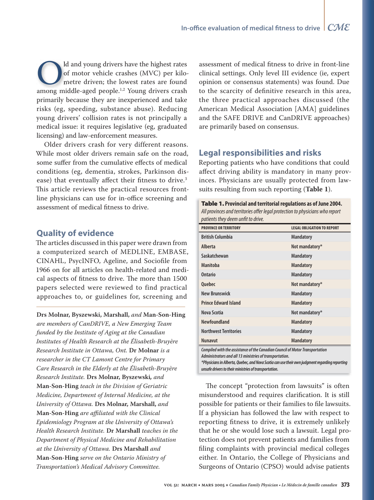ld and young drivers have the highest rates ld and young drivers have the highest rates of motor vehicle crashes (MVC) per kilo-of motor vehicle crashes (MVC) per metre driven; the lowest rates are found Id and young drivers have the highest rates<br>
of motor vehicle crashes (MVC) per kilo-<br>
metre driven; the lowest rates are found<br>
among middle-aged people.<sup>1,2</sup> Young drivers crash primarily because they are inexperienced and take risks (eg, speeding, substance abuse). Reducing young drivers' collision rates is not principally a medical issue: it requires legislative (eg, graduated licensing) and law-enforcement measures.

Older drivers crash for very different reasons. While most older drivers remain safe on the road, some suffer from the cumulative effects of medical conditions (eg, dementia, strokes, Parkinson disease) that eventually affect their fitness to drive.<sup>3</sup> This article reviews the practical resources frontline physicians can use for in-office screening and assessment of medical fitness to drive.

# **Quality of evidence**

The articles discussed in this paper were drawn from a computerized search of MEDLINE, EMBASE, CINAHL, PsycINFO, Ageline, and Sociofile from 1966 on for all articles on health-related and medical aspects of fitness to drive. The more than 1500 papers selected were reviewed to find practical approaches to, or guidelines for, screening and

#### **Drs Molnar, Byszewski, Marshall,** *and* **Man-Son-Hing**

*are members of CanDRIVE, a New Emerging Team funded by the Institute of Aging at the Canadian Institutes of Health Research at the Élisabeth-Bruyère Research Institute in Ottawa, Ont.* **Dr Molnar** *is a researcher in the CT Lamont Centre for Primary Care Research in the Elderly at the Élisabeth-Bruyère Research Institute.* **Drs Molnar, Byszewski***, and*  **Man-Son-Hing** *teach in the Division of Geriatric Medicine, Department of Internal Medicine, at the University of Ottawa.* **Drs Molnar, Marshall,** *and*  **Man-Son-Hing** *are affi liated with the Clinical Epidemiology Program at the University of Ottawa's Health Research Institute.* **Dr Marshall** *teaches in the Department of Physical Medicine and Rehabilitation at the University of Ottawa.* **Drs Marshall** *and* **Man-Son-Hing** *serve on the Ontario Ministry of Transportation's Medical Advisory Committee.*

assessment of medical fitness to drive in front-line clinical settings. Only level III evidence (ie, expert opinion or consensus statements) was found. Due to the scarcity of definitive research in this area, the three practical approaches discussed (the American Medical Association [AMA] guidelines and the SAFE DRIVE and CanDRIVE approaches) are primarily based on consensus.

# **Legal responsibilities and risks**

Reporting patients who have conditions that could affect driving ability is mandatory in many provinces. Physicians are usually protected from lawsuits resulting from such reporting (**Table 1**).

| Table 1. Provincial and territorial regulations as of June 2004.              |
|-------------------------------------------------------------------------------|
| All provinces and territories offer legal protection to physicians who report |
| patients they deem unfit to drive.                                            |

| <b>PROVINCE OR TERRITORY</b> | <b>LEGAL OBLIGATION TO REPORT</b> |
|------------------------------|-----------------------------------|
| <b>British Columbia</b>      | <b>Mandatory</b>                  |
| Alberta                      | Not mandatory*                    |
| Saskatchewan                 | <b>Mandatory</b>                  |
| <b>Manitoba</b>              | <b>Mandatory</b>                  |
| <b>Ontario</b>               | <b>Mandatory</b>                  |
| <b>Ouebec</b>                | Not mandatory*                    |
| <b>New Brunswick</b>         | <b>Mandatory</b>                  |
| <b>Prince Edward Island</b>  | <b>Mandatory</b>                  |
| Nova Scotia                  | Not mandatory*                    |
| <b>Newfoundland</b>          | <b>Mandatory</b>                  |
| <b>Northwest Territories</b> | <b>Mandatory</b>                  |
| <b>Nunavut</b>               | <b>Mandatory</b>                  |
|                              |                                   |

**Compiled with the assistance of the Canadian Council of Motor Transportation Administrators and all 13 ministries of transportation.**

**\*Physicians in Alberta, Quebec, and Nova Scotia can use their own judgment regarding reporting unsafe drivers to their ministries of transportation.**

The concept "protection from lawsuits" is often misunderstood and requires clarification. It is still possible for patients or their families to file lawsuits. If a physician has followed the law with respect to reporting fitness to drive, it is extremely unlikely that he or she would lose such a lawsuit. Legal protection does not prevent patients and families from filing complaints with provincial medical colleges either. In Ontario, the College of Physicians and Surgeons of Ontario (CPSO) would advise patients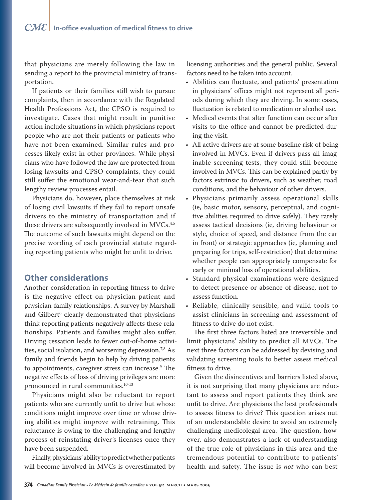that physicians are merely following the law in sending a report to the provincial ministry of transportation.

If patients or their families still wish to pursue complaints, then in accordance with the Regulated Health Professions Act, the CPSO is required to investigate. Cases that might result in punitive action include situations in which physicians report people who are not their patients or patients who have not been examined. Similar rules and processes likely exist in other provinces. While physicians who have followed the law are protected from losing lawsuits and CPSO complaints, they could still suffer the emotional wear-and-tear that such lengthy review processes entail.

Physicians do, however, place themselves at risk of losing civil lawsuits if they fail to report unsafe drivers to the ministry of transportation and if these drivers are subsequently involved in MVCs.<sup>4,5</sup> The outcome of such lawsuits might depend on the precise wording of each provincial statute regarding reporting patients who might be unfit to drive.

## **Other considerations**

Another consideration in reporting fitness to drive is the negative effect on physician-patient and physician-family relationships. A survey by Marshall and Gilbert<sup>6</sup> clearly demonstrated that physicians think reporting patients negatively affects these relationships. Patients and families might also suffer. Driving cessation leads to fewer out-of-home activities, social isolation, and worsening depression.<sup>7,8</sup> As family and friends begin to help by driving patients to appointments, caregiver stress can increase.<sup>9</sup> The negative effects of loss of driving privileges are more pronounced in rural communities.<sup>10-13</sup>

Physicians might also be reluctant to report patients who are currently unfit to drive but whose conditions might improve over time or whose driving abilities might improve with retraining. This reluctance is owing to the challenging and lengthy process of reinstating driver's licenses once they have been suspended.

Finally, physicians' ability to predict whether patients will become involved in MVCs is overestimated by licensing authorities and the general public. Several factors need to be taken into account.

- Abilities can fluctuate, and patients' presentation in physicians' offices might not represent all periods during which they are driving. In some cases, fluctuation is related to medication or alcohol use.
- Medical events that alter function can occur after visits to the office and cannot be predicted during the visit.
- All active drivers are at some baseline risk of being involved in MVCs. Even if drivers pass all imaginable screening tests, they could still become involved in MVCs. This can be explained partly by factors extrinsic to drivers, such as weather, road conditions, and the behaviour of other drivers.
- Physicians primarily assess operational skills (ie, basic motor, sensory, perceptual, and cognitive abilities required to drive safely). They rarely assess tactical decisions (ie, driving behaviour or style, choice of speed, and distance from the car in front) or strategic approaches (ie, planning and preparing for trips, self-restriction) that determine whether people can appropriately compensate for early or minimal loss of operational abilities.
- Standard physical examinations were designed to detect presence or absence of disease, not to assess function.
- Reliable, clinically sensible, and valid tools to assist clinicians in screening and assessment of fitness to drive do not exist.

The first three factors listed are irreversible and limit physicians' ability to predict all MVCs. The next three factors can be addressed by devising and validating screening tools to better assess medical fitness to drive.

Given the disincentives and barriers listed above, it is not surprising that many physicians are reluctant to assess and report patients they think are unfit to drive. Are physicians the best professionals to assess fitness to drive? This question arises out of an understandable desire to avoid an extremely challenging medicolegal area. The question, however, also demonstrates a lack of understanding of the true role of physicians in this area and the tremendous potential to contribute to patients' health and safety. The issue is *not* who can best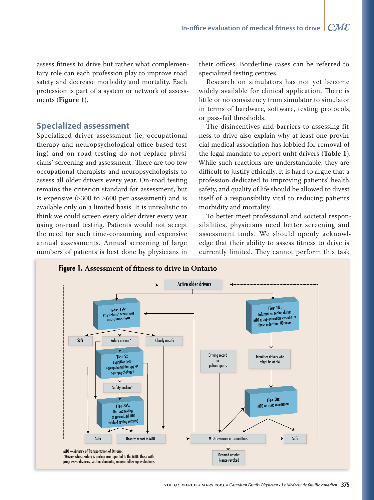assess fitness to drive but rather what complementary role can each profession play to improve road safety and decrease morbidity and mortality. Each profession is part of a system or network of assessments (Figure 1).

## **Specialized assessment**

Specialized driver assessment (ie, occupational therapy and neuropsychological office-based testing) and on-road testing do not replace physicians' screening and assessment. There are too few occupational therapists and neuropsychologists to assess all older drivers every year. On-road testing remains the criterion standard for assessment, but is expensive (\$300 to \$600 per assessment) and is available only on a limited basis. It is unrealistic to think we could screen every older driver every year using on-road testing. Patients would not accept the need for such time-consuming and expensive annual assessments. Annual screening of large numbers of patients is best done by physicians in

their offices. Borderline cases can be referred to specialized testing centres.

Research on simulators has not yet become widely available for clinical application. There is little or no consistency from simulator to simulator in terms of hardware, software, testing protocols, or pass-fail thresholds.

The disincentives and barriers to assessing fitness to drive also explain why at least one provincial medical association has lobbied for removal of the legal mandate to report unfit drivers (Table 1). While such reactions are understandable, they are difficult to justify ethically. It is hard to argue that a profession dedicated to improving patients' health, safety, and quality of life should be allowed to divest itself of a responsibility vital to reducing patients' morbidity and mortality.

To better meet professional and societal responsibilities, physicians need better screening and assessment tools. We should openly acknowledge that their ability to assess fitness to drive is currently limited. They cannot perform this task

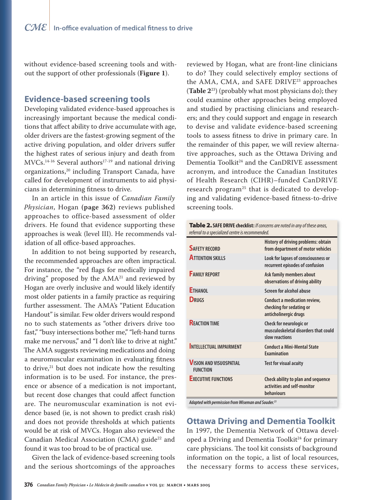without evidence-based screening tools and without the support of other professionals (**Figure 1**).

## **Evidence-based screening tools**

Developing validated evidence-based approaches is increasingly important because the medical conditions that affect ability to drive accumulate with age, older drivers are the fastest-growing segment of the active driving population, and older drivers suffer the highest rates of serious injury and death from MVCs.14-16 Several authors17-19 and national driving organizations,<sup>20</sup> including Transport Canada, have called for development of instruments to aid physicians in determining fitness to drive.

In an article in this issue of *Canadian Family Physician*, Hogan **(page 362)** reviews published approaches to office-based assessment of older drivers. He found that evidence supporting these approaches is weak (level III). He recommends validation of all office-based approaches.

In addition to not being supported by research, the recommended approaches are often impractical. For instance, the "red flags for medically impaired driving" proposed by the  $AMA<sup>21</sup>$  and reviewed by Hogan are overly inclusive and would likely identify most older patients in a family practice as requiring further assessment. The AMA's "Patient Education Handout" is similar. Few older drivers would respond no to such statements as "other drivers drive too fast," "busy intersections bother me," "left-hand turns make me nervous," and "I don't like to drive at night." The AMA suggests reviewing medications and doing a neuromuscular examination in evaluating fitness to drive, $21$  but does not indicate how the resulting information is to be used. For instance, the presence or absence of a medication is not important, but recent dose changes that could affect function are. The neuromuscular examination is not evidence based (ie, is not shown to predict crash risk) and does not provide thresholds at which patients would be at risk of MVCs. Hogan also reviewed the Canadian Medical Association (CMA) guide<sup>22</sup> and found it was too broad to be of practical use.

Given the lack of evidence-based screening tools and the serious shortcomings of the approaches

reviewed by Hogan, what are front-line clinicians to do? They could selectively employ sections of the AMA, CMA, and SAFE DRIVE<sup>23</sup> approaches (**Table 2**23) (probably what most physicians do); they could examine other approaches being employed and studied by practising clinicians and researchers; and they could support and engage in research to devise and validate evidence-based screening tools to assess fitness to drive in primary care. In the remainder of this paper, we will review alternative approaches, such as the Ottawa Driving and Dementia Toolkit<sup>24</sup> and the CanDRIVE assessment acronym, and introduce the Canadian Institutes of Health Research (CIHR)–funded CanDRIVE research program<sup>25</sup> that is dedicated to developing and validating evidence-based fitness-to-drive screening tools.

| Table 2. SAFE DRIVE checklist: If concerns are noted in any of these areas, |
|-----------------------------------------------------------------------------|
| referral to a specialized centre is recommended.                            |

| <b>SAFETY RECORD</b>                              | History of driving problems: obtain<br>from department of motor vehicles          |
|---------------------------------------------------|-----------------------------------------------------------------------------------|
| <b>ATTENTION SKILLS</b>                           | Look for lapses of consciousness or<br>recurrent episodes of confusion            |
| <b>FAMILY REPORT</b>                              | Ask family members about<br>observations of driving ability                       |
| <b>ETHANOL</b>                                    | Screen for alcohol abuse                                                          |
| <b>DRUGS</b>                                      | Conduct a medication review,<br>checking for sedating or<br>anticholinergic drugs |
| <b>REACTION TIME</b>                              | Check for neurologic or<br>musculoskeletal disorders that could<br>slow reactions |
| <b>INTELLECTUAL IMPAIRMENT</b>                    | <b>Conduct a Mini-Mental State</b><br><b>Examination</b>                          |
| <b>VISION AND VISUOSPATIAL</b><br><b>FUNCTION</b> | <b>Test for visual acuity</b>                                                     |
| <b>EXECUTIVE FUNCTIONS</b>                        | Check ability to plan and sequence<br>activities and self-monitor<br>behaviours   |

**Adapted with permission from Wiseman and Souder.23**

# **Ottawa Driving and Dementia Toolkit**

In 1997, the Dementia Network of Ottawa developed a Driving and Dementia Toolkit<sup>24</sup> for primary care physicians. The tool kit consists of background information on the topic, a list of local resources, the necessary forms to access these services,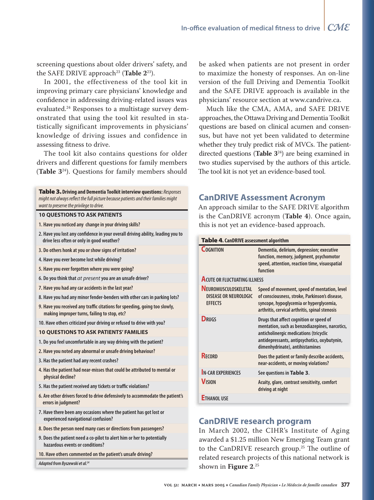screening questions about older drivers' safety, and the SAFE DRIVE approach<sup>23</sup> (Table 2<sup>23</sup>).

In 2001, the effectiveness of the tool kit in improving primary care physicians' knowledge and confidence in addressing driving-related issues was evaluated.24 Responses to a multistage survey demonstrated that using the tool kit resulted in statistically significant improvements in physicians' knowledge of driving issues and confidence in assessing fitness to drive.

The tool kit also contains questions for older drivers and different questions for family members (**Table 3**24). Questions for family members should

| <b>Table 3. Driving and Dementia Toolkit interview questions:</b> Responses<br>might not always reflect the full picture because patients and their families might<br>want to preserve the privilege to drive. |
|----------------------------------------------------------------------------------------------------------------------------------------------------------------------------------------------------------------|
| <b>10 QUESTIONS TO ASK PATIENTS</b>                                                                                                                                                                            |
| 1. Have you noticed any change in your driving skills?                                                                                                                                                         |
| 2. Have you lost any confidence in your overall driving ability, leading you to<br>drive less often or only in good weather?                                                                                   |
| 3. Do others honk at you or show signs of irritation?                                                                                                                                                          |
| 4. Have you ever become lost while driving?                                                                                                                                                                    |
| 5. Have you ever forgotten where you were going?                                                                                                                                                               |
| 6. Do you think that <i>at present</i> you are an unsafe driver?                                                                                                                                               |
| 7. Have you had any car accidents in the last year?                                                                                                                                                            |
| 8. Have you had any minor fender-benders with other cars in parking lots?                                                                                                                                      |
| 9. Have you received any traffic citations for speeding, going too slowly,<br>making improper turns, failing to stop, etc?                                                                                     |
| 10. Have others criticized your driving or refused to drive with you?                                                                                                                                          |
| <b>10 OUESTIONS TO ASK PATIENTS' FAMILIES</b>                                                                                                                                                                  |
| 1. Do you feel uncomfortable in any way driving with the patient?                                                                                                                                              |
| 2. Have you noted any abnormal or unsafe driving behaviour?                                                                                                                                                    |
| 3. Has the patient had any recent crashes?                                                                                                                                                                     |
| 4. Has the patient had near-misses that could be attributed to mental or<br>physical decline?                                                                                                                  |
| 5. Has the patient received any tickets or traffic violations?                                                                                                                                                 |
| 6. Are other drivers forced to drive defensively to accommodate the patient's<br>errors in judgment?                                                                                                           |
| 7. Have there been any occasions where the patient has got lost or<br>experienced navigational confusion?                                                                                                      |
| 8. Does the person need many cues or directions from passengers?                                                                                                                                               |
| 9. Does the patient need a co-pilot to alert him or her to potentially<br>hazardous events or conditions?                                                                                                      |

**10. Have others commented on the patient's unsafe driving?**

**Adapted from Byszewski et al.24**

be asked when patients are not present in order to maximize the honesty of responses. An on-line version of the full Driving and Dementia Toolkit and the SAFE DRIVE approach is available in the physicians' resource section at www.candrive.ca.

Much like the CMA, AMA, and SAFE DRIVE approaches, the Ottawa Driving and Dementia Toolkit questions are based on clinical acumen and consensus, but have not yet been validated to determine whether they truly predict risk of MVCs. The patientdirected questions (**Table 3**24) are being examined in two studies supervised by the authors of this article. The tool kit is not yet an evidence-based tool.

## **CanDRIVE Assessment Acronym**

An approach similar to the SAFE DRIVE algorithm is the CanDRIVE acronym (**Table 4**). Once again, this is not yet an evidence-based approach.

#### Table 4**. CanDRIVE assessment algorithm**

| COGNITION                                                                     | Dementia, delirium, depression; executive<br>function, memory, judgment, psychomotor<br>speed, attention, reaction time, visuospatial<br>function                                                                      |
|-------------------------------------------------------------------------------|------------------------------------------------------------------------------------------------------------------------------------------------------------------------------------------------------------------------|
| <b>ACUTE OR FLUCTUATING ILLNESS</b>                                           |                                                                                                                                                                                                                        |
| <b>NEUROMUSCULOSKELETAL</b><br><b>DISEASE OR NEUROLOGIC</b><br><b>EFFECTS</b> | Speed of movement, speed of mentation, level<br>of consciousness, stroke, Parkinson's disease,<br>syncope, hypoglycemia or hyperglycemia,<br>arthritis, cervical arthritis, spinal stenosis                            |
| <b>DRUGS</b>                                                                  | Drugs that affect cognition or speed of<br>mentation, such as benzodiazepines, narcotics,<br>anticholinergic medications (tricyclic<br>antidepressants, antipsychotics, oxybutynin,<br>dimenhydrinate), antihistamines |
| <b>RECORD</b>                                                                 | Does the patient or family describe accidents,<br>near-accidents, or moving violations?                                                                                                                                |
| <b>N-CAR EXPERIENCES</b>                                                      | See questions in Table 3.                                                                                                                                                                                              |
| <b>VISION</b>                                                                 | Acuity, glare, contrast sensitivity, comfort<br>driving at night                                                                                                                                                       |
| <b>ETHANOL USE</b>                                                            |                                                                                                                                                                                                                        |

# **CanDRIVE research program**

In March 2002, the CIHR's Institute of Aging awarded a \$1.25 million New Emerging Team grant to the CanDRIVE research group.<sup>25</sup> The outline of related research projects of this national network is shown in **Figure 2**. 25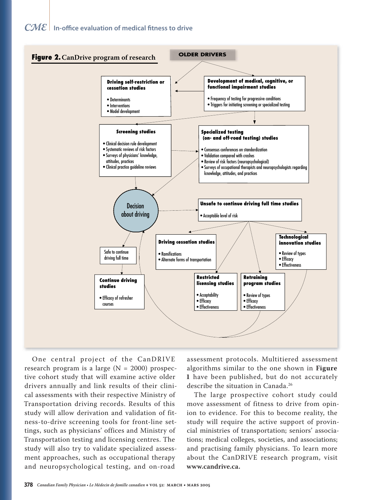# $\mathcal{C\!M\!E}{}|$  In-office evaluation of medical fitness to drive



One central project of the CanDRIVE research program is a large ( $N = 2000$ ) prospective cohort study that will examine active older drivers annually and link results of their clinical assessments with their respective Ministry of Transportation driving records. Results of this study will allow derivation and validation of fitness-to-drive screening tools for front-line settings, such as physicians' offices and Ministry of Transportation testing and licensing centres. The study will also try to validate specialized assessment approaches, such as occupational therapy and neuropsychological testing, and on-road

assessment protocols. Multitiered assessment algorithms similar to the one shown in Figure 1 have been published, but do not accurately describe the situation in Canada.<sup>26</sup>

The large prospective cohort study could move assessment of fitness to drive from opinion to evidence. For this to become reality, the study will require the active support of provincial ministries of transportation; seniors' associations; medical colleges, societies, and associations; and practising family physicians. To learn more about the CanDRIVE research program, visit www.candrive.ca.